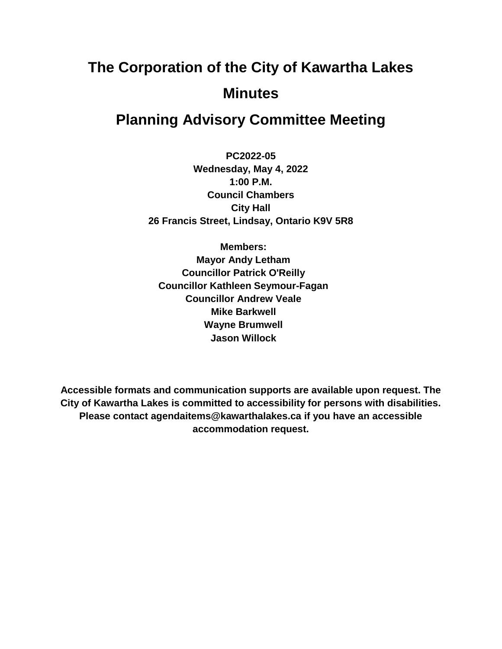# **The Corporation of the City of Kawartha Lakes Minutes**

## **Planning Advisory Committee Meeting**

**PC2022-05 Wednesday, May 4, 2022 1:00 P.M. Council Chambers City Hall 26 Francis Street, Lindsay, Ontario K9V 5R8**

**Members: Mayor Andy Letham Councillor Patrick O'Reilly Councillor Kathleen Seymour-Fagan Councillor Andrew Veale Mike Barkwell Wayne Brumwell Jason Willock**

**Accessible formats and communication supports are available upon request. The City of Kawartha Lakes is committed to accessibility for persons with disabilities. Please contact agendaitems@kawarthalakes.ca if you have an accessible accommodation request.**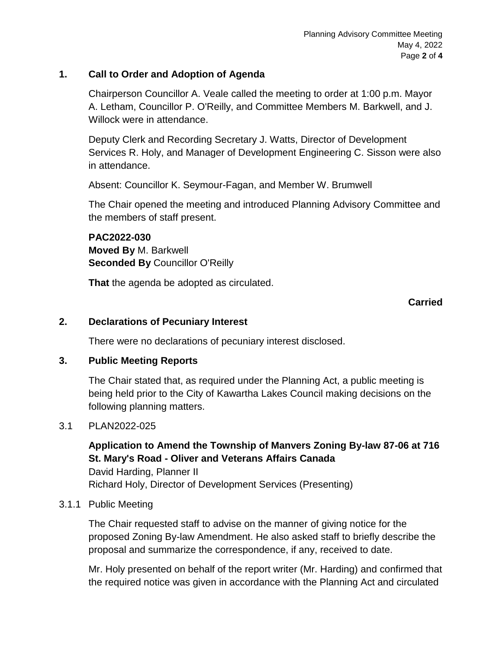#### **1. Call to Order and Adoption of Agenda**

Chairperson Councillor A. Veale called the meeting to order at 1:00 p.m. Mayor A. Letham, Councillor P. O'Reilly, and Committee Members M. Barkwell, and J. Willock were in attendance.

Deputy Clerk and Recording Secretary J. Watts, Director of Development Services R. Holy, and Manager of Development Engineering C. Sisson were also in attendance.

Absent: Councillor K. Seymour-Fagan, and Member W. Brumwell

The Chair opened the meeting and introduced Planning Advisory Committee and the members of staff present.

**PAC2022-030 Moved By** M. Barkwell **Seconded By** Councillor O'Reilly

**That** the agenda be adopted as circulated.

#### **Carried**

#### **2. Declarations of Pecuniary Interest**

There were no declarations of pecuniary interest disclosed.

#### **3. Public Meeting Reports**

The Chair stated that, as required under the Planning Act, a public meeting is being held prior to the City of Kawartha Lakes Council making decisions on the following planning matters.

#### 3.1 PLAN2022-025

#### **Application to Amend the Township of Manvers Zoning By-law 87-06 at 716 St. Mary's Road - Oliver and Veterans Affairs Canada**

David Harding, Planner II Richard Holy, Director of Development Services (Presenting)

#### 3.1.1 Public Meeting

The Chair requested staff to advise on the manner of giving notice for the proposed Zoning By-law Amendment. He also asked staff to briefly describe the proposal and summarize the correspondence, if any, received to date.

Mr. Holy presented on behalf of the report writer (Mr. Harding) and confirmed that the required notice was given in accordance with the Planning Act and circulated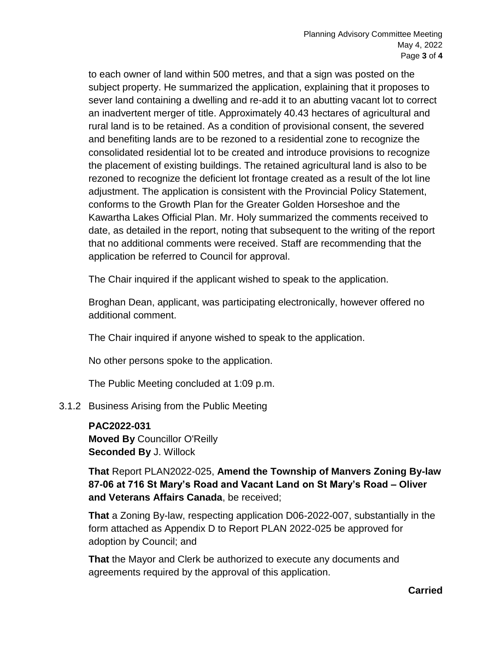to each owner of land within 500 metres, and that a sign was posted on the subject property. He summarized the application, explaining that it proposes to sever land containing a dwelling and re-add it to an abutting vacant lot to correct an inadvertent merger of title. Approximately 40.43 hectares of agricultural and rural land is to be retained. As a condition of provisional consent, the severed and benefiting lands are to be rezoned to a residential zone to recognize the consolidated residential lot to be created and introduce provisions to recognize the placement of existing buildings. The retained agricultural land is also to be rezoned to recognize the deficient lot frontage created as a result of the lot line adjustment. The application is consistent with the Provincial Policy Statement, conforms to the Growth Plan for the Greater Golden Horseshoe and the Kawartha Lakes Official Plan. Mr. Holy summarized the comments received to date, as detailed in the report, noting that subsequent to the writing of the report that no additional comments were received. Staff are recommending that the application be referred to Council for approval.

The Chair inquired if the applicant wished to speak to the application.

Broghan Dean, applicant, was participating electronically, however offered no additional comment.

The Chair inquired if anyone wished to speak to the application.

No other persons spoke to the application.

The Public Meeting concluded at 1:09 p.m.

3.1.2 Business Arising from the Public Meeting

### **PAC2022-031**

**Moved By** Councillor O'Reilly **Seconded By** J. Willock

**That** Report PLAN2022-025, **Amend the Township of Manvers Zoning By-law 87-06 at 716 St Mary's Road and Vacant Land on St Mary's Road – Oliver and Veterans Affairs Canada**, be received;

**That** a Zoning By-law, respecting application D06-2022-007, substantially in the form attached as Appendix D to Report PLAN 2022-025 be approved for adoption by Council; and

**That** the Mayor and Clerk be authorized to execute any documents and agreements required by the approval of this application.